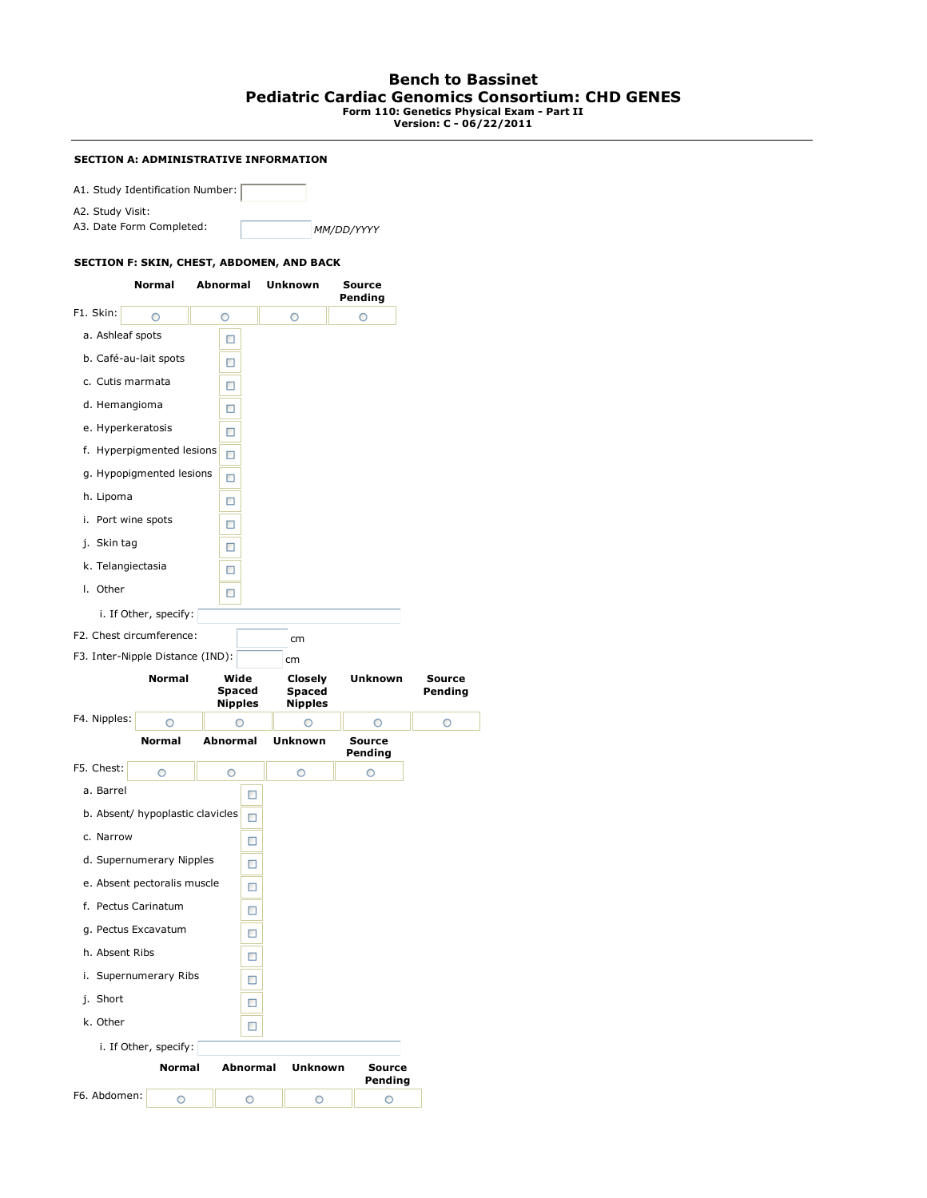# **Bench to Bassinet Pediatric Cardiac Genomics Consortium: CHD GENES Form 110: Genetics Physical Exam - Part II Version: C - 06/22/2011**

### **SECTION A: ADMINISTRATIVE INFORMATION**

A1. Study Identification Number:

A2. Study Visit:

A3. Date Form Completed: *MM/DD/YYYY*

### **SECTION F: SKIN, CHEST, ABDOMEN, AND BACK**

|                                  | Normal                | Abnormal            |                 | Unknown                      | Source<br>Pending |                   |                          |
|----------------------------------|-----------------------|---------------------|-----------------|------------------------------|-------------------|-------------------|--------------------------|
| F1. Skin:                        | O                     | O                   |                 | O                            | O                 |                   |                          |
| a. Ashleaf spots                 |                       | □                   |                 |                              |                   |                   |                          |
| b. Café-au-lait spots            |                       | □                   |                 |                              |                   |                   |                          |
| c. Cutis marmata                 |                       | □                   |                 |                              |                   |                   |                          |
| d. Hemangioma                    |                       | □                   |                 |                              |                   |                   |                          |
| e. Hyperkeratosis                |                       | □                   |                 |                              |                   |                   |                          |
| f. Hyperpigmented lesions        |                       | п                   |                 |                              |                   |                   |                          |
| g. Hypopigmented lesions         |                       | □                   |                 |                              |                   |                   |                          |
| h. Lipoma                        |                       | □                   |                 |                              |                   |                   |                          |
| i. Port wine spots               |                       | □                   |                 |                              |                   |                   |                          |
| j. Skin tag                      |                       | □                   |                 |                              |                   |                   |                          |
| k. Telangiectasia                |                       | □                   |                 |                              |                   |                   |                          |
| I. Other                         |                       | □                   |                 |                              |                   |                   |                          |
|                                  | i. If Other, specify: |                     |                 |                              |                   |                   |                          |
| F2. Chest circumference:         |                       |                     |                 | cm                           |                   |                   |                          |
| F3. Inter-Nipple Distance (IND): |                       |                     |                 | cm                           |                   |                   |                          |
|                                  | <b>Normal</b>         | Wide<br>Spaced      |                 | Closely<br>Spaced<br>Nipples | Unknown           |                   | <b>Source</b><br>Pending |
|                                  |                       |                     |                 |                              |                   |                   |                          |
| F4. Nipples:                     | O                     | <b>Nipples</b><br>∩ |                 | О                            | O                 |                   | O                        |
|                                  | <b>Normal</b>         | Abnormal            |                 | <b>Unknown</b>               | Source<br>Pending |                   |                          |
| F5. Chest:                       | $\circ$               | O                   |                 | O                            | $\circ$           |                   |                          |
| a. Barrel                        |                       |                     | □               |                              |                   |                   |                          |
| b. Absent/ hypoplastic clavicles |                       |                     | □               |                              |                   |                   |                          |
| c. Narrow                        |                       |                     | □               |                              |                   |                   |                          |
| d. Supernumerary Nipples         |                       |                     | □               |                              |                   |                   |                          |
| e. Absent pectoralis muscle      |                       |                     | □               |                              |                   |                   |                          |
| f. Pectus Carinatum              |                       |                     | □               |                              |                   |                   |                          |
| g. Pectus Excavatum              |                       |                     | □               |                              |                   |                   |                          |
| h. Absent Ribs                   |                       |                     | □               |                              |                   |                   |                          |
| i. Supernumerary Ribs            |                       |                     | □               |                              |                   |                   |                          |
| j. Short                         |                       |                     | □               |                              |                   |                   |                          |
| k. Other                         |                       |                     | □               |                              |                   |                   |                          |
|                                  | i. If Other, specify: |                     |                 |                              |                   |                   |                          |
|                                  | <b>Normal</b>         |                     | <b>Abnormal</b> | <b>Unknown</b>               |                   | Source<br>Pending |                          |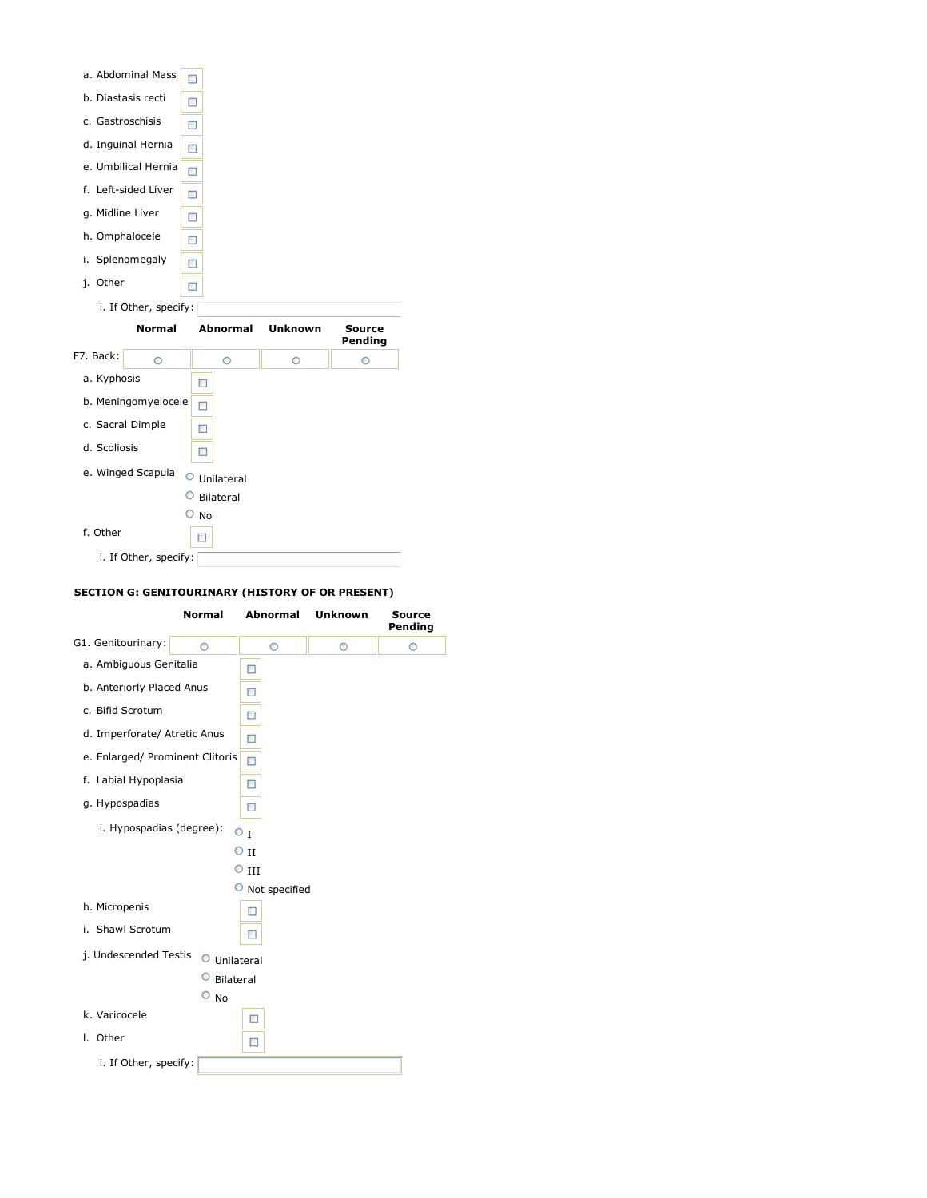| a. Abdominal Mass     | П               |                |                   |
|-----------------------|-----------------|----------------|-------------------|
| b. Diastasis recti    | о               |                |                   |
| c. Gastroschisis      | П               |                |                   |
| d. Inguinal Hernia    | □               |                |                   |
| e. Umbilical Hernia   | □               |                |                   |
| f. Left-sided Liver   | □               |                |                   |
| g. Midline Liver      | □               |                |                   |
| h. Omphalocele        | □               |                |                   |
| Splenomegaly<br>i.    | п               |                |                   |
| Other<br>i.           | ш               |                |                   |
| i. If Other, specify: |                 |                |                   |
|                       |                 |                |                   |
| <b>Normal</b>         | <b>Abnormal</b> | <b>Unknown</b> | Source<br>Pending |
| ◠                     | O               | O              | ∩                 |
| a. Kyphosis           | П               |                |                   |
| b. Meningomyelocele   | □               |                |                   |
| c. Sacral Dimple      | □               |                |                   |
| d. Scoliosis          | □               |                |                   |
| e. Winged Scapula     | O<br>Unilateral |                |                   |
|                       | Bilateral       |                |                   |
| F7. Back:<br>f. Other | No<br>ш         |                |                   |

## **SECTION G: GENITOURINARY (HISTORY OF OR PRESENT)**

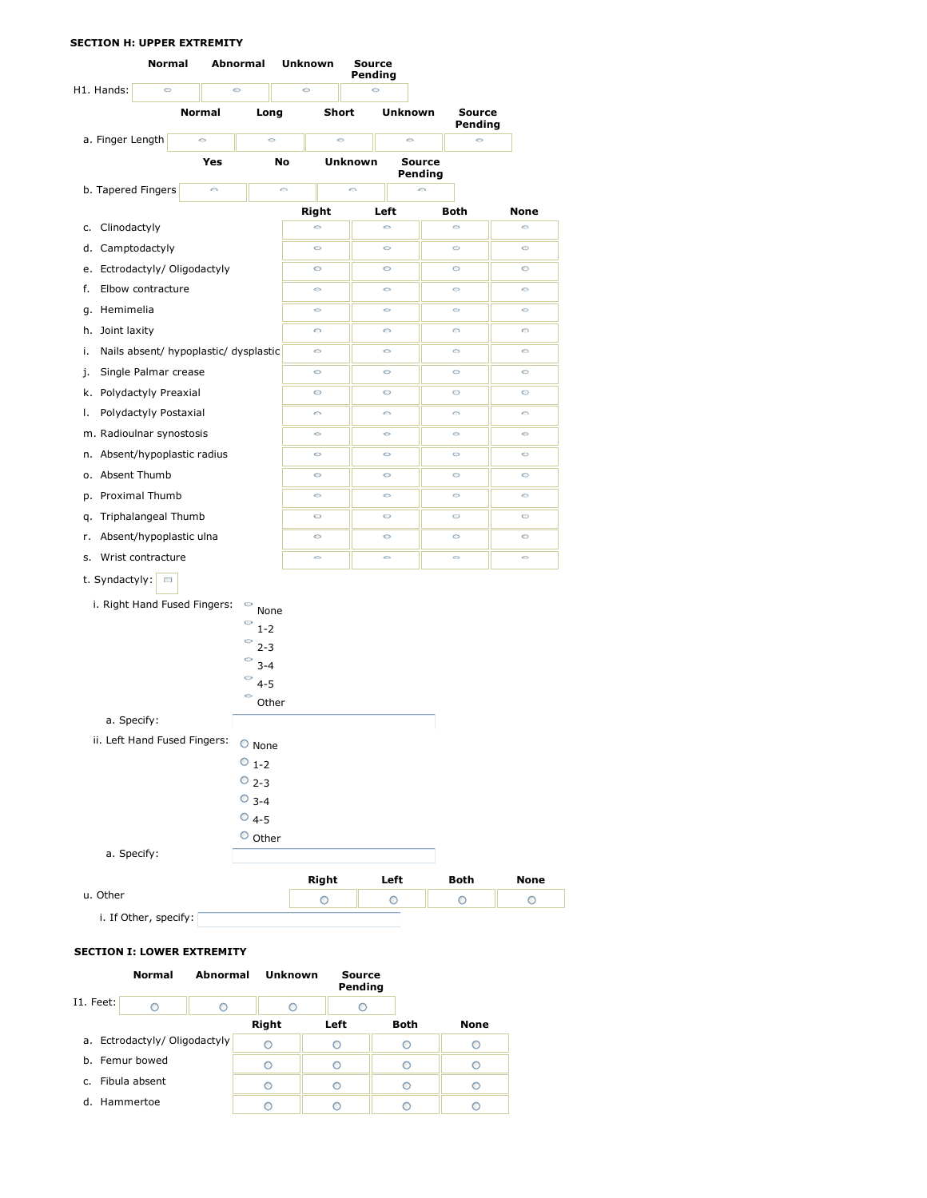### **SECTION H: UPPER EXTREMITY**



### **SECTION I: LOWER EXTREMITY**

|           | Normal                       | Abnormal | Unknown | Source<br>Pending |             |             |
|-----------|------------------------------|----------|---------|-------------------|-------------|-------------|
| I1. Feet: |                              | ∩        |         |                   |             |             |
|           |                              |          | Right   | Left              | <b>Both</b> | <b>None</b> |
|           | a. Ectrodactyly/Oligodactyly |          | ∩       | ∩                 |             |             |
|           | b. Femur bowed               |          |         |                   |             |             |
| C.        | Fibula absent                |          |         |                   |             |             |
|           | d. Hammertoe                 |          |         |                   |             |             |